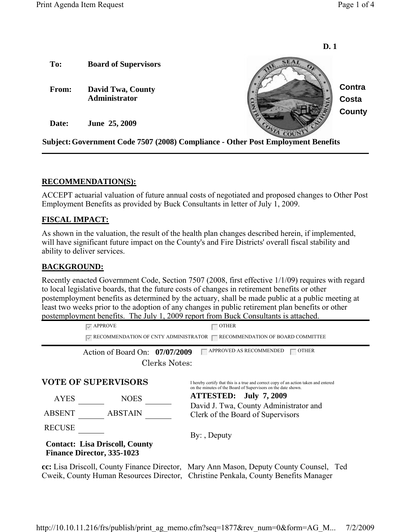

## **RECOMMENDATION(S):**

ACCEPT actuarial valuation of future annual costs of negotiated and proposed changes to Other Post Employment Benefits as provided by Buck Consultants in letter of July 1, 2009.

## **FISCAL IMPACT:**

As shown in the valuation, the result of the health plan changes described herein, if implemented, will have significant future impact on the County's and Fire Districts' overall fiscal stability and ability to deliver services.

## **BACKGROUND:**

Recently enacted Government Code, Section 7507 (2008, first effective 1/1/09) requires with regard to local legislative boards, that the future costs of changes in retirement benefits or other postemployment benefits as determined by the actuary, shall be made public at a public meeting at least two weeks prior to the adoption of any changes in public retirement plan benefits or other postemployment benefits. The July 1, 2009 report from Buck Consultants is attached.

 $\sqrt{\ }$  APPROVE  $\Box$  OTHER  $\Box$  RECOMMENDATION OF CNTY ADMINISTRATOR  $\Box$  RECOMMENDATION OF BOARD COMMITTEE Action of Board On: 07/07/2009 GAPPROVED AS RECOMMENDED GIFTER Clerks Notes: **VOTE OF SUPERVISORS** I hereby certify that this is a true and correct copy of an action taken and entered

AYES NOES

ABSENT ABSTAIN

RECUSE

## **Contact: Lisa Driscoll, County Finance Director, 335-1023**

on the minutes of the Board of Supervisors on the date shown. **ATTESTED: July 7, 2009**  David J. Twa, County Administrator and

Clerk of the Board of Supervisors

By: , Deputy

**cc:** Lisa Driscoll, County Finance Director, Mary Ann Mason, Deputy County Counsel, Ted Cweik, County Human Resources Director, Christine Penkala, County Benefits Manager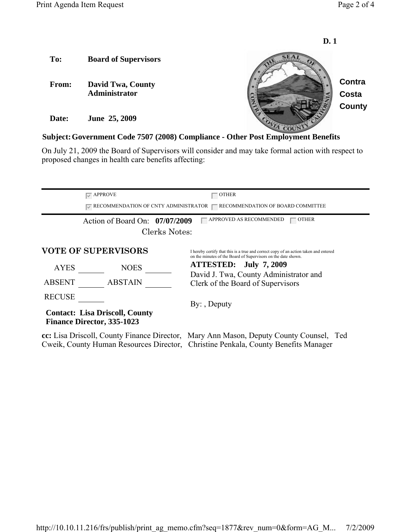

### **Subject:Government Code 7507 (2008) Compliance - Other Post Employment Benefits**

On July 21, 2009 the Board of Supervisors will consider and may take formal action with respect to proposed changes in health care benefits affecting:

|                                                                                                                                                                              | $\overline{\triangledown}$ APPROVE | $-$ other                                                                                                                                             |
|------------------------------------------------------------------------------------------------------------------------------------------------------------------------------|------------------------------------|-------------------------------------------------------------------------------------------------------------------------------------------------------|
| $\sqrt{\ }$ RECOMMENDATION OF CNTY ADMINISTRATOR<br>$\Box$ RECOMMENDATION OF BOARD COMMITTEE                                                                                 |                                    |                                                                                                                                                       |
|                                                                                                                                                                              | Action of Board On: 07/07/2009     | APPROVED AS RECOMMENDED<br><b>OTHER</b>                                                                                                               |
| Clerks Notes:                                                                                                                                                                |                                    |                                                                                                                                                       |
|                                                                                                                                                                              | <b>VOTE OF SUPERVISORS</b>         | I hereby certify that this is a true and correct copy of an action taken and entered<br>on the minutes of the Board of Supervisors on the date shown. |
| <b>AYES</b>                                                                                                                                                                  | <b>NOES</b>                        | ATTESTED: July 7, 2009                                                                                                                                |
|                                                                                                                                                                              |                                    | David J. Twa, County Administrator and                                                                                                                |
| <b>ABSENT</b>                                                                                                                                                                | <b>ABSTAIN</b>                     | Clerk of the Board of Supervisors                                                                                                                     |
| <b>RECUSE</b>                                                                                                                                                                |                                    | $By:$ , Deputy                                                                                                                                        |
| <b>Contact: Lisa Driscoll, County</b><br><b>Finance Director, 335-1023</b>                                                                                                   |                                    |                                                                                                                                                       |
| cc: Lisa Driscoll, County Finance Director, Mary Ann Mason, Deputy County Counsel, Ted<br>Cweik, County Human Resources Director, Christine Penkala, County Benefits Manager |                                    |                                                                                                                                                       |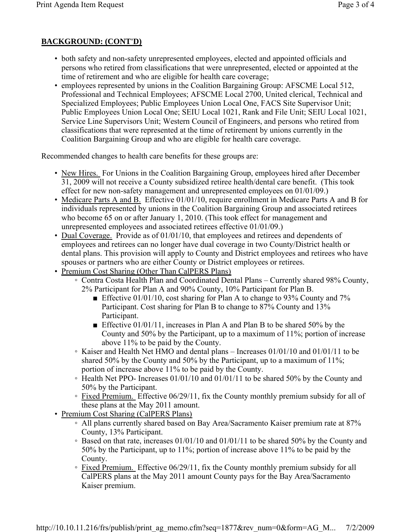# **BACKGROUND: (CONT'D)**

- both safety and non-safety unrepresented employees, elected and appointed officials and persons who retired from classifications that were unrepresented, elected or appointed at the time of retirement and who are eligible for health care coverage;
- employees represented by unions in the Coalition Bargaining Group: AFSCME Local 512, Professional and Technical Employees; AFSCME Local 2700, United clerical, Technical and Specialized Employees; Public Employees Union Local One, FACS Site Supervisor Unit; Public Employees Union Local One; SEIU Local 1021, Rank and File Unit; SEIU Local 1021, Service Line Supervisors Unit; Western Council of Engineers, and persons who retired from classifications that were represented at the time of retirement by unions currently in the Coalition Bargaining Group and who are eligible for health care coverage.

Recommended changes to health care benefits for these groups are:

- New Hires. For Unions in the Coalition Bargaining Group, employees hired after December 31, 2009 will not receive a County subsidized retiree health/dental care benefit. (This took effect for new non-safety management and unrepresented employees on 01/01/09.)
- Medicare Parts A and B. Effective 01/01/10, require enrollment in Medicare Parts A and B for individuals represented by unions in the Coalition Bargaining Group and associated retirees who become 65 on or after January 1, 2010. (This took effect for management and unrepresented employees and associated retirees effective 01/01/09.)
- Dual Coverage. Provide as of 01/01/10, that employees and retirees and dependents of employees and retirees can no longer have dual coverage in two County/District health or dental plans. This provision will apply to County and District employees and retirees who have spouses or partners who are either County or District employees or retirees.
- Premium Cost Sharing (Other Than CalPERS Plans)
	- Contra Costa Health Plan and Coordinated Dental Plans Currently shared 98% County, 2% Participant for Plan A and 90% County, 10% Participant for Plan B.
		- Effective 01/01/10, cost sharing for Plan A to change to 93% County and 7% Participant. Cost sharing for Plan B to change to 87% County and 13% Participant.
		- Effective 01/01/11, increases in Plan A and Plan B to be shared 50% by the County and 50% by the Participant, up to a maximum of 11%; portion of increase above 11% to be paid by the County.
	- Kaiser and Health Net HMO and dental plans Increases 01/01/10 and 01/01/11 to be shared 50% by the County and 50% by the Participant, up to a maximum of 11%; portion of increase above 11% to be paid by the County.
	- Health Net PPO- Increases 01/01/10 and 01/01/11 to be shared 50% by the County and 50% by the Participant.
	- Fixed Premium. Effective 06/29/11, fix the County monthly premium subsidy for all of these plans at the May 2011 amount.
- Premium Cost Sharing (CalPERS Plans)
	- All plans currently shared based on Bay Area/Sacramento Kaiser premium rate at 87% County, 13% Participant.
	- Based on that rate, increases 01/01/10 and 01/01/11 to be shared 50% by the County and 50% by the Participant, up to 11%; portion of increase above 11% to be paid by the County.
	- Fixed Premium. Effective 06/29/11, fix the County monthly premium subsidy for all CalPERS plans at the May 2011 amount County pays for the Bay Area/Sacramento Kaiser premium.